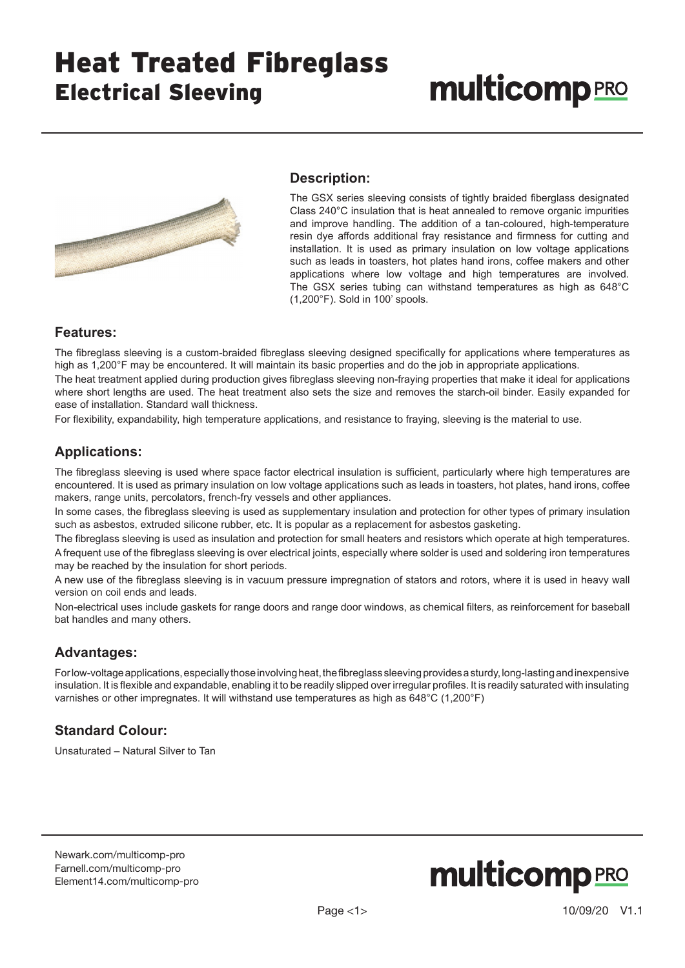## Heat Treated Fibreglass Electrical Sleeving

# **multicomp**PRO



#### **Description:**

The GSX series sleeving consists of tightly braided fiberglass designated Class 240°C insulation that is heat annealed to remove organic impurities and improve handling. The addition of a tan-coloured, high-temperature resin dye affords additional fray resistance and firmness for cutting and installation. It is used as primary insulation on low voltage applications such as leads in toasters, hot plates hand irons, coffee makers and other applications where low voltage and high temperatures are involved. The GSX series tubing can withstand temperatures as high as 648°C (1,200°F). Sold in 100' spools.

#### **Features:**

The fibreglass sleeving is a custom-braided fibreglass sleeving designed specifically for applications where temperatures as high as 1,200°F may be encountered. It will maintain its basic properties and do the job in appropriate applications.

The heat treatment applied during production gives fibreglass sleeving non-fraying properties that make it ideal for applications where short lengths are used. The heat treatment also sets the size and removes the starch-oil binder. Easily expanded for ease of installation. Standard wall thickness.

For flexibility, expandability, high temperature applications, and resistance to fraying, sleeving is the material to use.

### **Applications:**

The fibreglass sleeving is used where space factor electrical insulation is sufficient, particularly where high temperatures are encountered. It is used as primary insulation on low voltage applications such as leads in toasters, hot plates, hand irons, coffee makers, range units, percolators, french-fry vessels and other appliances.

In some cases, the fibreglass sleeving is used as supplementary insulation and protection for other types of primary insulation such as asbestos, extruded silicone rubber, etc. It is popular as a replacement for asbestos gasketing.

The fibreglass sleeving is used as insulation and protection for small heaters and resistors which operate at high temperatures. A frequent use of the fibreglass sleeving is over electrical joints, especially where solder is used and soldering iron temperatures may be reached by the insulation for short periods.

A new use of the fibreglass sleeving is in vacuum pressure impregnation of stators and rotors, where it is used in heavy wall version on coil ends and leads.

Non-electrical uses include gaskets for range doors and range door windows, as chemical filters, as reinforcement for baseball bat handles and many others.

#### **Advantages:**

For low-voltage applications, especially those involving heat, the fibreglass sleeving provides a sturdy, long-lasting and inexpensive insulation. It is flexible and expandable, enabling it to be readily slipped over irregular profiles. It is readily saturated with insulating varnishes or other impregnates. It will withstand use temperatures as high as 648°C (1,200°F)

#### **Standard Colour:**

Unsaturated – Natural Silver to Tan

[Newark.com/multicomp-](https://www.newark.com/multicomp-pro)pro [Farnell.com/multicomp](https://www.farnell.com/multicomp-pro)-pro [Element14.com/multicomp-pro](https://element14.com/multicomp-pro)